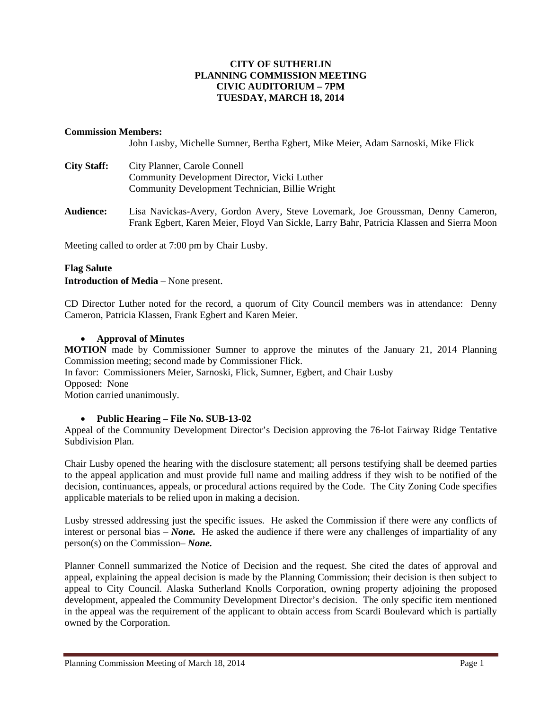# **CITY OF SUTHERLIN PLANNING COMMISSION MEETING CIVIC AUDITORIUM – 7PM TUESDAY, MARCH 18, 2014**

## **Commission Members:**

John Lusby, Michelle Sumner, Bertha Egbert, Mike Meier, Adam Sarnoski, Mike Flick

| <b>City Staff:</b> | City Planner, Carole Connell                    |
|--------------------|-------------------------------------------------|
|                    | Community Development Director, Vicki Luther    |
|                    | Community Development Technician, Billie Wright |

**Audience:** Lisa Navickas-Avery, Gordon Avery, Steve Lovemark, Joe Groussman, Denny Cameron, Frank Egbert, Karen Meier, Floyd Van Sickle, Larry Bahr, Patricia Klassen and Sierra Moon

Meeting called to order at 7:00 pm by Chair Lusby.

#### **Flag Salute**

**Introduction of Media** – None present.

CD Director Luther noted for the record, a quorum of City Council members was in attendance: Denny Cameron, Patricia Klassen, Frank Egbert and Karen Meier.

#### **Approval of Minutes**

**MOTION** made by Commissioner Sumner to approve the minutes of the January 21, 2014 Planning Commission meeting; second made by Commissioner Flick.

In favor: Commissioners Meier, Sarnoski, Flick, Sumner, Egbert, and Chair Lusby Opposed:None

Motion carried unanimously.

## **Public Hearing – File No. SUB-13-02**

Appeal of the Community Development Director's Decision approving the 76-lot Fairway Ridge Tentative Subdivision Plan.

Chair Lusby opened the hearing with the disclosure statement; all persons testifying shall be deemed parties to the appeal application and must provide full name and mailing address if they wish to be notified of the decision, continuances, appeals, or procedural actions required by the Code. The City Zoning Code specifies applicable materials to be relied upon in making a decision.

Lusby stressed addressing just the specific issues. He asked the Commission if there were any conflicts of interest or personal bias – *None.* He asked the audience if there were any challenges of impartiality of any person(s) on the Commission– *None.* 

Planner Connell summarized the Notice of Decision and the request. She cited the dates of approval and appeal, explaining the appeal decision is made by the Planning Commission; their decision is then subject to appeal to City Council. Alaska Sutherland Knolls Corporation, owning property adjoining the proposed development, appealed the Community Development Director's decision. The only specific item mentioned in the appeal was the requirement of the applicant to obtain access from Scardi Boulevard which is partially owned by the Corporation.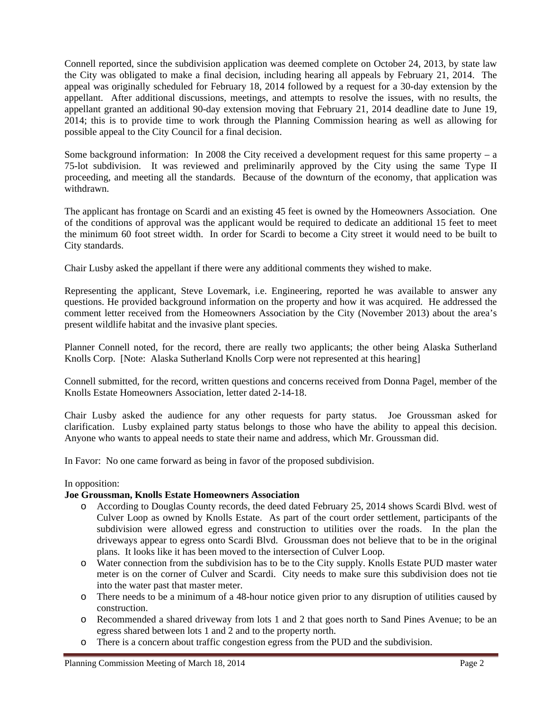Connell reported, since the subdivision application was deemed complete on October 24, 2013, by state law the City was obligated to make a final decision, including hearing all appeals by February 21, 2014. The appeal was originally scheduled for February 18, 2014 followed by a request for a 30-day extension by the appellant. After additional discussions, meetings, and attempts to resolve the issues, with no results, the appellant granted an additional 90-day extension moving that February 21, 2014 deadline date to June 19, 2014; this is to provide time to work through the Planning Commission hearing as well as allowing for possible appeal to the City Council for a final decision.

Some background information: In 2008 the City received a development request for this same property  $-$  a 75-lot subdivision. It was reviewed and preliminarily approved by the City using the same Type II proceeding, and meeting all the standards. Because of the downturn of the economy, that application was withdrawn.

The applicant has frontage on Scardi and an existing 45 feet is owned by the Homeowners Association. One of the conditions of approval was the applicant would be required to dedicate an additional 15 feet to meet the minimum 60 foot street width. In order for Scardi to become a City street it would need to be built to City standards.

Chair Lusby asked the appellant if there were any additional comments they wished to make.

Representing the applicant, Steve Lovemark, i.e. Engineering, reported he was available to answer any questions. He provided background information on the property and how it was acquired. He addressed the comment letter received from the Homeowners Association by the City (November 2013) about the area's present wildlife habitat and the invasive plant species.

Planner Connell noted, for the record, there are really two applicants; the other being Alaska Sutherland Knolls Corp. [Note: Alaska Sutherland Knolls Corp were not represented at this hearing]

Connell submitted, for the record, written questions and concerns received from Donna Pagel, member of the Knolls Estate Homeowners Association, letter dated 2-14-18.

Chair Lusby asked the audience for any other requests for party status. Joe Groussman asked for clarification. Lusby explained party status belongs to those who have the ability to appeal this decision. Anyone who wants to appeal needs to state their name and address, which Mr. Groussman did.

In Favor: No one came forward as being in favor of the proposed subdivision.

#### In opposition:

#### **Joe Groussman, Knolls Estate Homeowners Association**

- o According to Douglas County records, the deed dated February 25, 2014 shows Scardi Blvd. west of Culver Loop as owned by Knolls Estate. As part of the court order settlement, participants of the subdivision were allowed egress and construction to utilities over the roads. In the plan the driveways appear to egress onto Scardi Blvd. Groussman does not believe that to be in the original plans. It looks like it has been moved to the intersection of Culver Loop.
- o Water connection from the subdivision has to be to the City supply. Knolls Estate PUD master water meter is on the corner of Culver and Scardi. City needs to make sure this subdivision does not tie into the water past that master meter.
- o There needs to be a minimum of a 48-hour notice given prior to any disruption of utilities caused by construction.
- o Recommended a shared driveway from lots 1 and 2 that goes north to Sand Pines Avenue; to be an egress shared between lots 1 and 2 and to the property north.
- o There is a concern about traffic congestion egress from the PUD and the subdivision.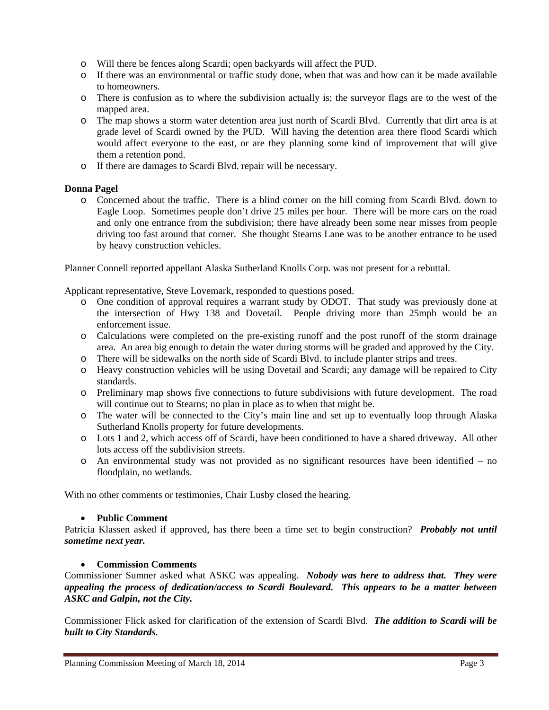- o Will there be fences along Scardi; open backyards will affect the PUD.
- o If there was an environmental or traffic study done, when that was and how can it be made available to homeowners.
- o There is confusion as to where the subdivision actually is; the surveyor flags are to the west of the mapped area.
- o The map shows a storm water detention area just north of Scardi Blvd. Currently that dirt area is at grade level of Scardi owned by the PUD. Will having the detention area there flood Scardi which would affect everyone to the east, or are they planning some kind of improvement that will give them a retention pond.
- o If there are damages to Scardi Blvd. repair will be necessary.

# **Donna Pagel**

o Concerned about the traffic. There is a blind corner on the hill coming from Scardi Blvd. down to Eagle Loop. Sometimes people don't drive 25 miles per hour. There will be more cars on the road and only one entrance from the subdivision; there have already been some near misses from people driving too fast around that corner. She thought Stearns Lane was to be another entrance to be used by heavy construction vehicles.

Planner Connell reported appellant Alaska Sutherland Knolls Corp. was not present for a rebuttal.

Applicant representative, Steve Lovemark, responded to questions posed.

- o One condition of approval requires a warrant study by ODOT. That study was previously done at the intersection of Hwy 138 and Dovetail. People driving more than 25mph would be an enforcement issue.
- o Calculations were completed on the pre-existing runoff and the post runoff of the storm drainage area. An area big enough to detain the water during storms will be graded and approved by the City.
- o There will be sidewalks on the north side of Scardi Blvd. to include planter strips and trees.
- o Heavy construction vehicles will be using Dovetail and Scardi; any damage will be repaired to City standards.
- o Preliminary map shows five connections to future subdivisions with future development. The road will continue out to Stearns; no plan in place as to when that might be.
- o The water will be connected to the City's main line and set up to eventually loop through Alaska Sutherland Knolls property for future developments.
- o Lots 1 and 2, which access off of Scardi, have been conditioned to have a shared driveway. All other lots access off the subdivision streets.
- o An environmental study was not provided as no significant resources have been identified no floodplain, no wetlands.

With no other comments or testimonies, Chair Lusby closed the hearing.

#### **Public Comment**

Patricia Klassen asked if approved, has there been a time set to begin construction? *Probably not until sometime next year.* 

## **Commission Comments**

Commissioner Sumner asked what ASKC was appealing. *Nobody was here to address that. They were appealing the process of dedication/access to Scardi Boulevard. This appears to be a matter between ASKC and Galpin, not the City.*

Commissioner Flick asked for clarification of the extension of Scardi Blvd. *The addition to Scardi will be built to City Standards.*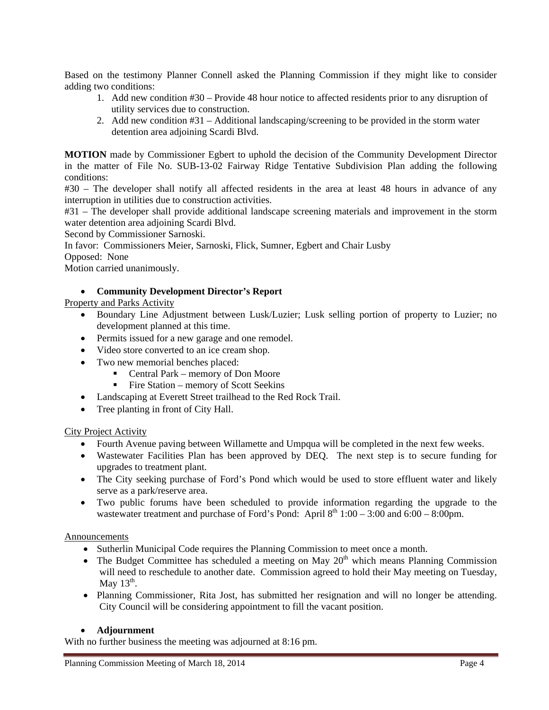Based on the testimony Planner Connell asked the Planning Commission if they might like to consider adding two conditions:

- 1. Add new condition #30 Provide 48 hour notice to affected residents prior to any disruption of utility services due to construction.
- 2. Add new condition #31 Additional landscaping/screening to be provided in the storm water detention area adjoining Scardi Blvd.

**MOTION** made by Commissioner Egbert to uphold the decision of the Community Development Director in the matter of File No. SUB-13-02 Fairway Ridge Tentative Subdivision Plan adding the following conditions:

#30 – The developer shall notify all affected residents in the area at least 48 hours in advance of any interruption in utilities due to construction activities.

#31 – The developer shall provide additional landscape screening materials and improvement in the storm water detention area adjoining Scardi Blvd.

Second by Commissioner Sarnoski.

In favor: Commissioners Meier, Sarnoski, Flick, Sumner, Egbert and Chair Lusby

Opposed: None

Motion carried unanimously.

#### **Community Development Director's Report**

#### Property and Parks Activity

- Boundary Line Adjustment between Lusk/Luzier; Lusk selling portion of property to Luzier; no development planned at this time.
- Permits issued for a new garage and one remodel.
- Video store converted to an ice cream shop.
- Two new memorial benches placed:
	- Central Park memory of Don Moore<br>■ Fire Station memory of Scott Seekins
	- Fire Station memory of Scott Seekins
- Landscaping at Everett Street trailhead to the Red Rock Trail.
- Tree planting in front of City Hall.

#### City Project Activity

- Fourth Avenue paving between Willamette and Umpqua will be completed in the next few weeks.
- Wastewater Facilities Plan has been approved by DEQ. The next step is to secure funding for upgrades to treatment plant.
- The City seeking purchase of Ford's Pond which would be used to store effluent water and likely serve as a park/reserve area.
- Two public forums have been scheduled to provide information regarding the upgrade to the wastewater treatment and purchase of Ford's Pond: April  $8<sup>th</sup> 1:00 - 3:00$  and  $6:00 - 8:00$ pm.

#### Announcements

- Sutherlin Municipal Code requires the Planning Commission to meet once a month.
- The Budget Committee has scheduled a meeting on May  $20<sup>th</sup>$  which means Planning Commission will need to reschedule to another date. Commission agreed to hold their May meeting on Tuesday, May  $13<sup>th</sup>$ .
- Planning Commissioner, Rita Jost, has submitted her resignation and will no longer be attending. City Council will be considering appointment to fill the vacant position.

#### **Adjournment**

With no further business the meeting was adjourned at 8:16 pm.